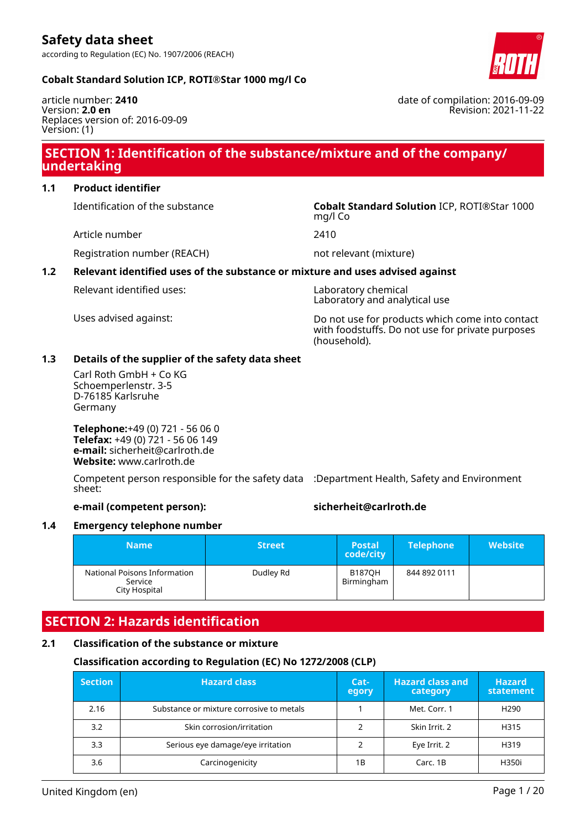

#### **Cobalt Standard Solution ICP, ROTI®Star 1000 mg/l Co**

article number: **2410** Version: **2.0 en** Replaces version of: 2016-09-09 Version: (1)

### **SECTION 1: Identification of the substance/mixture and of the company/ undertaking**

### **1.1 Product identifier**

Article number 2410

Identification of the substance **Cobalt Standard Solution** ICP, ROTI®Star 1000 mg/l Co

Registration number (REACH) not relevant (mixture)

### **1.2 Relevant identified uses of the substance or mixture and uses advised against**

Relevant identified uses: Laboratory chemical

Laboratory and analytical use

Uses advised against: Do not use for products which come into contact with foodstuffs. Do not use for private purposes (household).

#### **1.3 Details of the supplier of the safety data sheet**

Carl Roth GmbH + Co KG Schoemperlenstr. 3-5 D-76185 Karlsruhe Germany

**Telephone:**+49 (0) 721 - 56 06 0 **Telefax:** +49 (0) 721 - 56 06 149 **e-mail:** sicherheit@carlroth.de **Website:** www.carlroth.de

Competent person responsible for the safety data :Department Health, Safety and Environment sheet:

#### **e-mail (competent person): sicherheit@carlroth.de**

#### **1.4 Emergency telephone number**

| <b>Name</b>                                              | <b>Street</b> | <b>Postal</b><br>code/city  | <b>Telephone</b> | <b>Website</b> |
|----------------------------------------------------------|---------------|-----------------------------|------------------|----------------|
| National Poisons Information<br>Service<br>City Hospital | Dudley Rd     | <b>B187OH</b><br>Birmingham | 844 892 0111     |                |

### **SECTION 2: Hazards identification**

#### **2.1 Classification of the substance or mixture**

#### **Classification according to Regulation (EC) No 1272/2008 (CLP)**

| <b>Section</b> | <b>Hazard class</b>                      | Cat-<br>egory | <b>Hazard class and</b><br>category | <b>Hazard</b><br>statement |
|----------------|------------------------------------------|---------------|-------------------------------------|----------------------------|
| 2.16           | Substance or mixture corrosive to metals |               | Met. Corr. 1                        | H <sub>290</sub>           |
| 3.2            | Skin corrosion/irritation                |               | Skin Irrit. 2                       | H315                       |
| 3.3            | Serious eye damage/eye irritation        |               | Eye Irrit. 2                        | H319                       |
| 3.6            | Carcinogenicity                          | 1Β            | Carc, 1B                            | H350i                      |

date of compilation: 2016-09-09 Revision: 2021-11-22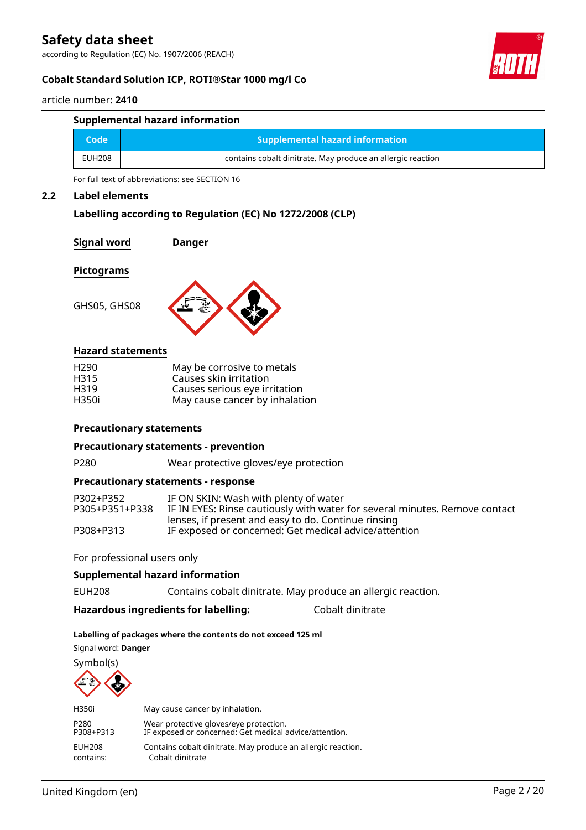according to Regulation (EC) No. 1907/2006 (REACH)

#### **Cobalt Standard Solution ICP, ROTI®Star 1000 mg/l Co**

article number: **2410**

| Supplemental hazard information |                                                             |  |  |  |  |
|---------------------------------|-------------------------------------------------------------|--|--|--|--|
| Code                            | <b>Supplemental hazard information</b>                      |  |  |  |  |
| EUH208                          | contains cobalt dinitrate. May produce an allergic reaction |  |  |  |  |

For full text of abbreviations: see SECTION 16

#### **2.2 Label elements**

#### **Labelling according to Regulation (EC) No 1272/2008 (CLP)**

#### **Signal word Danger**

#### **Pictograms**

GHS05, GHS08



#### **Hazard statements**

| H <sub>290</sub> | May be corrosive to metals     |
|------------------|--------------------------------|
| H <sub>315</sub> | Causes skin irritation         |
| H <sub>319</sub> | Causes serious eye irritation  |
| H350i            | May cause cancer by inhalation |

#### **Precautionary statements**

#### **Precautionary statements - prevention**

P280 Wear protective gloves/eye protection

#### **Precautionary statements - response**

| P302+P352      | IF ON SKIN: Wash with plenty of water                                       |
|----------------|-----------------------------------------------------------------------------|
| P305+P351+P338 | IF IN EYES: Rinse cautiously with water for several minutes. Remove contact |
|                | lenses, if present and easy to do. Continue rinsing                         |
| P308+P313      | IF exposed or concerned: Get medical advice/attention                       |

#### For professional users only

#### **Supplemental hazard information**

EUH208 Contains cobalt dinitrate. May produce an allergic reaction.

#### **Hazardous ingredients for labelling:** Cobalt dinitrate

#### **Labelling of packages where the contents do not exceed 125 ml**

Signal word: **Danger**

Symbol(s)



| H350i     | May cause cancer by inhalation.                              |
|-----------|--------------------------------------------------------------|
| P280      | Wear protective gloves/eye protection.                       |
| P308+P313 | IF exposed or concerned: Get medical advice/attention.       |
| EUH208    | Contains cobalt dinitrate. May produce an allergic reaction. |
| contains: | Cobalt dinitrate                                             |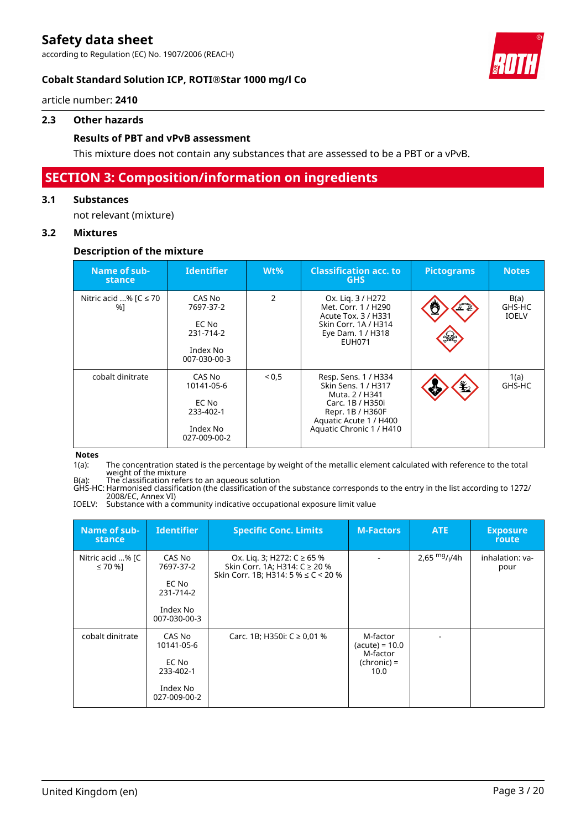according to Regulation (EC) No. 1907/2006 (REACH)



### **Cobalt Standard Solution ICP, ROTI®Star 1000 mg/l Co**

article number: **2410**

#### **2.3 Other hazards**

#### **Results of PBT and vPvB assessment**

This mixture does not contain any substances that are assessed to be a PBT or a vPvB.

### **SECTION 3: Composition/information on ingredients**

#### **3.1 Substances**

not relevant (mixture)

#### **3.2 Mixtures**

#### **Description of the mixture**

| Name of sub-<br>stance          | <b>Identifier</b>                                                      | $Wt\%$ | <b>Classification acc. to</b><br><b>GHS</b>                                                                                                                 | <b>Pictograms</b>    | <b>Notes</b>                   |
|---------------------------------|------------------------------------------------------------------------|--------|-------------------------------------------------------------------------------------------------------------------------------------------------------------|----------------------|--------------------------------|
| Nitric acid % $IC \le 70$<br>%1 | CAS No<br>7697-37-2<br>EC No<br>231-714-2<br>Index No<br>007-030-00-3  | 2      | Ox. Lig. 3 / H272<br>Met. Corr. 1 / H290<br>Acute Tox. 3 / H331<br>Skin Corr. 1A / H314<br>Eye Dam. 1 / H318<br>EUH071                                      | $\frac{1}{\sqrt{2}}$ | B(a)<br>GHS-HC<br><b>IOELV</b> |
| cobalt dinitrate                | CAS No<br>10141-05-6<br>EC No<br>233-402-1<br>Index No<br>027-009-00-2 | < 0.5  | Resp. Sens. 1 / H334<br>Skin Sens. 1 / H317<br>Muta. 2 / H341<br>Carc. 1B / H350i<br>Repr. 1B / H360F<br>Aquatic Acute 1 / H400<br>Aquatic Chronic 1 / H410 | 玉                    | 1(a)<br>GHS-HC                 |

#### **Notes**

1(a): The concentration stated is the percentage by weight of the metallic element calculated with reference to the total weight of the mixture

B(a): The classification refers to an aqueous solution GHS-HC: Harmonised classification (the classification of the substance corresponds to the entry in the list according to 1272/ 2008/EC, Annex VI)

IOELV: Substance with a community indicative occupational exposure limit value

| Name of sub-<br>stance           | <b>Identifier</b>                                                      | <b>Specific Conc. Limits</b>                                                                            | <b>M-Factors</b>                                                   | <b>ATE</b>     | <b>Exposure</b><br>route |
|----------------------------------|------------------------------------------------------------------------|---------------------------------------------------------------------------------------------------------|--------------------------------------------------------------------|----------------|--------------------------|
| Nitric acid % [C<br>$\leq 70$ %] | CAS No<br>7697-37-2<br>EC No<br>231-714-2<br>Index No<br>007-030-00-3  | Ox. Lig. 3; H272: C ≥ 65 %<br>Skin Corr. 1A; H314: C ≥ 20 %<br>Skin Corr. 1B; H314: 5 % $\leq$ C < 20 % |                                                                    | 2,65 $mg/1/4h$ | inhalation: va-<br>pour  |
| cobalt dinitrate                 | CAS No<br>10141-05-6<br>EC No<br>233-402-1<br>Index No<br>027-009-00-2 | Carc. 1B; H350i: $C \ge 0.01$ %                                                                         | M-factor<br>$(acute) = 10.0$<br>M-factor<br>$(charonic) =$<br>10.0 |                |                          |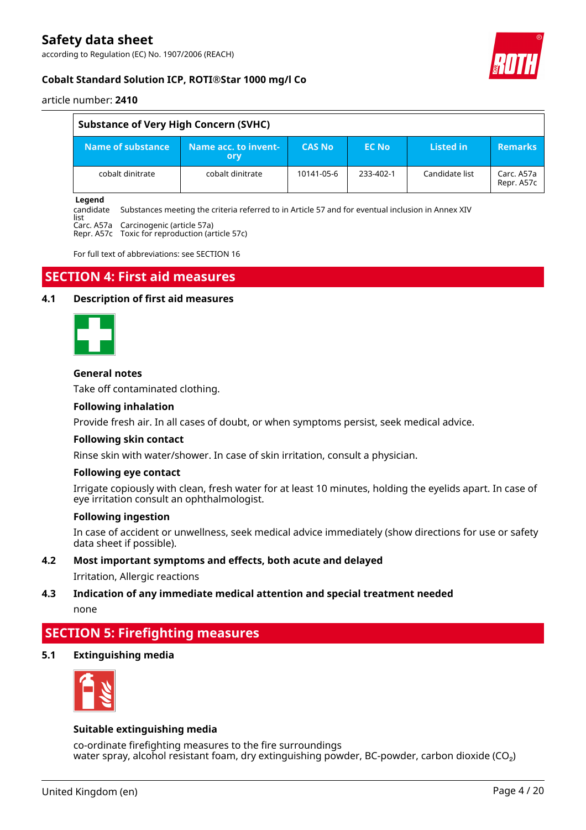according to Regulation (EC) No. 1907/2006 (REACH)



#### article number: **2410**

 $\overline{1}$ 

| <b>Substance of Very High Concern (SVHC)</b> |                                      |               |           |                |                          |  |  |
|----------------------------------------------|--------------------------------------|---------------|-----------|----------------|--------------------------|--|--|
| Name of substance                            | Name acc. to invent- <b>'</b><br>ory | <b>CAS No</b> | EC No.    | Listed in      | <b>Remarks</b>           |  |  |
| cobalt dinitrate                             | cobalt dinitrate                     | 10141-05-6    | 233-402-1 | Candidate list | Carc. A57a<br>Repr. A57c |  |  |

#### **Legend**

candidate Substances meeting the criteria referred to in Article 57 and for eventual inclusion in Annex XIV

list Carc. A57a Carcinogenic (article 57a)

Repr. A57c Toxic for reproduction (article 57c)

For full text of abbreviations: see SECTION 16

### **SECTION 4: First aid measures**

#### **4.1 Description of first aid measures**



#### **General notes**

Take off contaminated clothing.

#### **Following inhalation**

Provide fresh air. In all cases of doubt, or when symptoms persist, seek medical advice.

#### **Following skin contact**

Rinse skin with water/shower. In case of skin irritation, consult a physician.

#### **Following eye contact**

Irrigate copiously with clean, fresh water for at least 10 minutes, holding the eyelids apart. In case of eye irritation consult an ophthalmologist.

#### **Following ingestion**

In case of accident or unwellness, seek medical advice immediately (show directions for use or safety data sheet if possible).

#### **4.2 Most important symptoms and effects, both acute and delayed**

Irritation, Allergic reactions

#### **4.3 Indication of any immediate medical attention and special treatment needed** none

### **SECTION 5: Firefighting measures**

**5.1 Extinguishing media**



#### **Suitable extinguishing media**

co-ordinate firefighting measures to the fire surroundings water spray, alcohol resistant foam, dry extinguishing powder, BC-powder, carbon dioxide ( $CO<sub>2</sub>$ )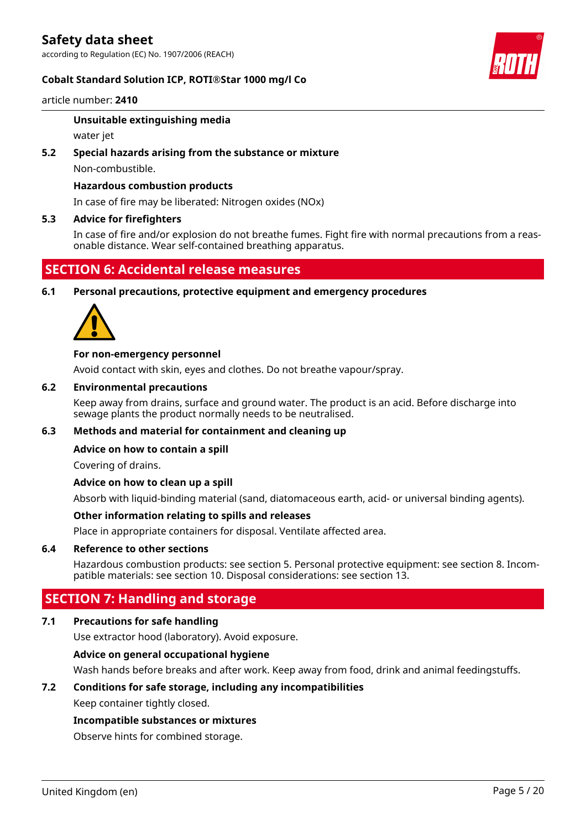#### **Cobalt Standard Solution ICP, ROTI®Star 1000 mg/l Co**



article number: **2410**

#### **Unsuitable extinguishing media**

water jet

**5.2 Special hazards arising from the substance or mixture**

Non-combustible.

#### **Hazardous combustion products**

In case of fire may be liberated: Nitrogen oxides (NOx)

#### **5.3 Advice for firefighters**

In case of fire and/or explosion do not breathe fumes. Fight fire with normal precautions from a reasonable distance. Wear self-contained breathing apparatus.

### **SECTION 6: Accidental release measures**

**6.1 Personal precautions, protective equipment and emergency procedures**



#### **For non-emergency personnel**

Avoid contact with skin, eyes and clothes. Do not breathe vapour/spray.

#### **6.2 Environmental precautions**

Keep away from drains, surface and ground water. The product is an acid. Before discharge into sewage plants the product normally needs to be neutralised.

#### **6.3 Methods and material for containment and cleaning up**

#### **Advice on how to contain a spill**

Covering of drains.

#### **Advice on how to clean up a spill**

Absorb with liquid-binding material (sand, diatomaceous earth, acid- or universal binding agents).

#### **Other information relating to spills and releases**

Place in appropriate containers for disposal. Ventilate affected area.

#### **6.4 Reference to other sections**

Hazardous combustion products: see section 5. Personal protective equipment: see section 8. Incompatible materials: see section 10. Disposal considerations: see section 13.

### **SECTION 7: Handling and storage**

#### **7.1 Precautions for safe handling**

Use extractor hood (laboratory). Avoid exposure.

#### **Advice on general occupational hygiene**

Wash hands before breaks and after work. Keep away from food, drink and animal feedingstuffs.

#### **7.2 Conditions for safe storage, including any incompatibilities**

Keep container tightly closed.

#### **Incompatible substances or mixtures**

Observe hints for combined storage.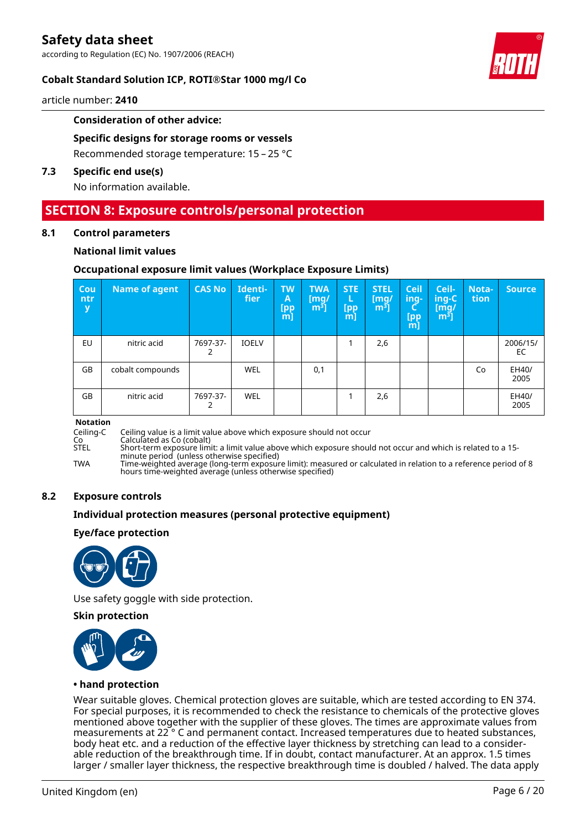

#### **Cobalt Standard Solution ICP, ROTI®Star 1000 mg/l Co**

article number: **2410**

#### **Consideration of other advice:**

#### **Specific designs for storage rooms or vessels**

Recommended storage temperature: 15 – 25 °C

#### **7.3 Specific end use(s)**

No information available.

### **SECTION 8: Exposure controls/personal protection**

#### **8.1 Control parameters**

#### **National limit values**

#### **Occupational exposure limit values (Workplace Exposure Limits)**

| Cou<br>ntr<br>y | Name of agent    | <b>CAS No</b> | Identi-<br>fier | <b>TW</b><br>Α<br>[pp<br>[m] | <b>TWA</b><br>$\lceil \mathsf{mq}/ \rceil$<br>m <sup>3</sup> | <b>STE</b><br>L<br>[pp<br>[m] | <b>STEL</b><br>[mg]<br>m <sup>3</sup> | <b>Ceil</b><br>ing-<br>[pp<br>$m$ ] | Ceil-<br>ing-C<br>[mq/<br>m <sup>3</sup> | <b>Nota-</b><br>tion | <b>Source</b>  |
|-----------------|------------------|---------------|-----------------|------------------------------|--------------------------------------------------------------|-------------------------------|---------------------------------------|-------------------------------------|------------------------------------------|----------------------|----------------|
| EU              | nitric acid      | 7697-37-      | <b>IOELV</b>    |                              |                                                              |                               | 2,6                                   |                                     |                                          |                      | 2006/15/<br>EC |
| GB              | cobalt compounds |               | WEL             |                              | 0,1                                                          |                               |                                       |                                     |                                          | Co                   | EH40/<br>2005  |
| GB              | nitric acid      | 7697-37-      | <b>WEL</b>      |                              |                                                              |                               | 2,6                                   |                                     |                                          |                      | EH40/<br>2005  |

# **Notation**

Ceiling-C Ceiling value is a limit value above which exposure should not occur

Co Calculated as Co (cobalt)

STEL Short-term exposure limit: a limit value above which exposure should not occur and which is related to a 15 minute period (unless otherwise specified)

TWA Time-weighted average (long-term exposure limit): measured or calculated in relation to a reference period of 8 hours time-weighted average (unless otherwise specified)

#### **8.2 Exposure controls**

#### **Individual protection measures (personal protective equipment)**

#### **Eye/face protection**



Use safety goggle with side protection.

#### **Skin protection**



#### **• hand protection**

Wear suitable gloves. Chemical protection gloves are suitable, which are tested according to EN 374. For special purposes, it is recommended to check the resistance to chemicals of the protective gloves mentioned above together with the supplier of these gloves. The times are approximate values from measurements at 22 ° C and permanent contact. Increased temperatures due to heated substances, body heat etc. and a reduction of the effective layer thickness by stretching can lead to a considerable reduction of the breakthrough time. If in doubt, contact manufacturer. At an approx. 1.5 times larger / smaller layer thickness, the respective breakthrough time is doubled / halved. The data apply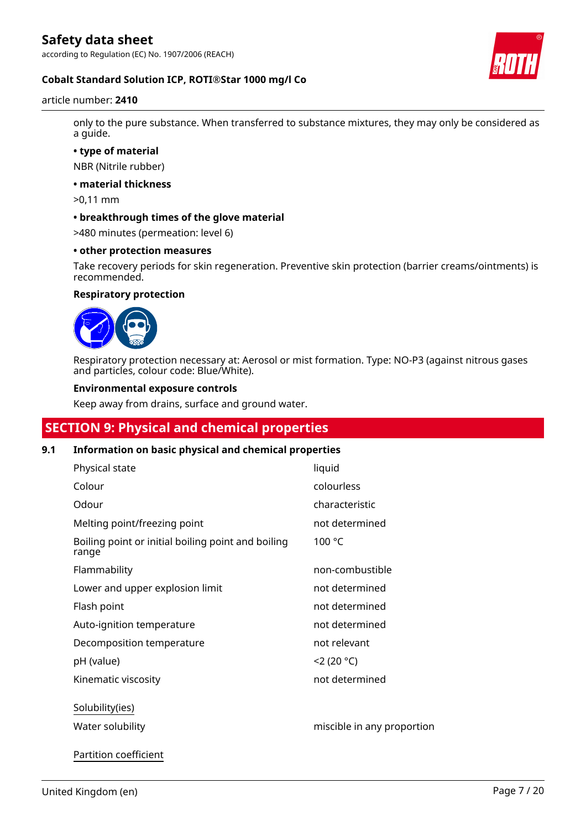according to Regulation (EC) No. 1907/2006 (REACH)



#### **Cobalt Standard Solution ICP, ROTI®Star 1000 mg/l Co**

article number: **2410**

only to the pure substance. When transferred to substance mixtures, they may only be considered as a guide.

**• type of material**

NBR (Nitrile rubber)

**• material thickness**

>0,11 mm

**• breakthrough times of the glove material**

>480 minutes (permeation: level 6)

#### **• other protection measures**

Take recovery periods for skin regeneration. Preventive skin protection (barrier creams/ointments) is recommended.

### **Respiratory protection**



Respiratory protection necessary at: Aerosol or mist formation. Type: NO-P3 (against nitrous gases and particles, colour code: Blue/White).

#### **Environmental exposure controls**

Keep away from drains, surface and ground water.

## **SECTION 9: Physical and chemical properties**

#### **9.1 Information on basic physical and chemical properties**

| Physical state                                              | liquid                     |
|-------------------------------------------------------------|----------------------------|
| Colour                                                      | colourless                 |
| Odour                                                       | characteristic             |
| Melting point/freezing point                                | not determined             |
| Boiling point or initial boiling point and boiling<br>range | 100 °C                     |
| Flammability                                                | non-combustible            |
| Lower and upper explosion limit                             | not determined             |
| Flash point                                                 | not determined             |
| Auto-ignition temperature                                   | not determined             |
| Decomposition temperature                                   | not relevant               |
| pH (value)                                                  | 2(20 °C)                   |
| Kinematic viscosity                                         | not determined             |
| Solubility(ies)<br>Water solubility                         | miscible in any proportion |
|                                                             |                            |

Partition coefficient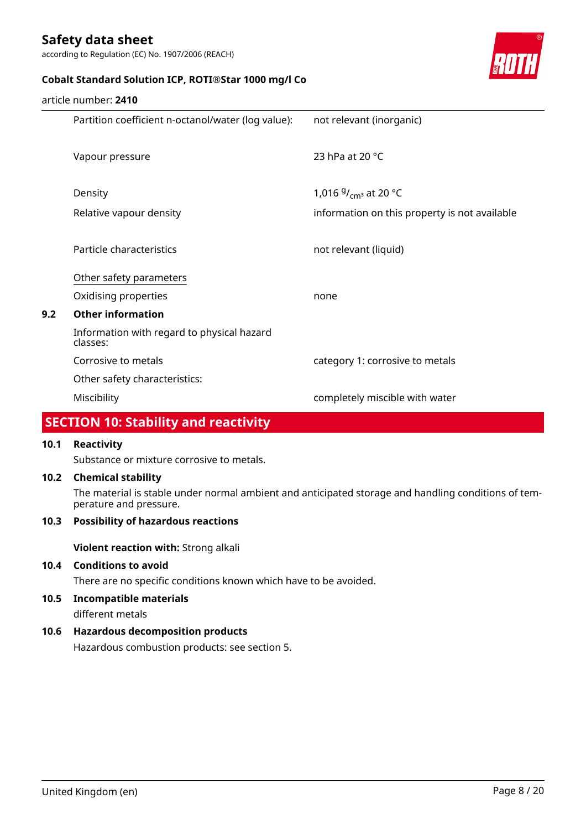according to Regulation (EC) No. 1907/2006 (REACH)



### **Cobalt Standard Solution ICP, ROTI®Star 1000 mg/l Co**

|     | article number: <b>2410</b>                            |                                               |
|-----|--------------------------------------------------------|-----------------------------------------------|
|     | Partition coefficient n-octanol/water (log value):     | not relevant (inorganic)                      |
|     |                                                        |                                               |
|     | Vapour pressure                                        | 23 hPa at 20 $^{\circ}$ C                     |
|     |                                                        |                                               |
|     | Density                                                | 1,016 $9/_{\text{cm}^3}$ at 20 °C             |
|     | Relative vapour density                                | information on this property is not available |
|     |                                                        |                                               |
|     | Particle characteristics                               | not relevant (liquid)                         |
|     | Other safety parameters                                |                                               |
|     | Oxidising properties                                   | none                                          |
| 9.2 | <b>Other information</b>                               |                                               |
|     | Information with regard to physical hazard<br>classes: |                                               |
|     | Corrosive to metals                                    | category 1: corrosive to metals               |
|     | Other safety characteristics:                          |                                               |
|     | Miscibility                                            | completely miscible with water                |

# **SECTION 10: Stability and reactivity**

#### **10.1 Reactivity**

Substance or mixture corrosive to metals.

#### **10.2 Chemical stability**

The material is stable under normal ambient and anticipated storage and handling conditions of temperature and pressure.

#### **10.3 Possibility of hazardous reactions**

**Violent reaction with:** Strong alkali

#### **10.4 Conditions to avoid**

There are no specific conditions known which have to be avoided.

**10.5 Incompatible materials**

different metals

### **10.6 Hazardous decomposition products**

Hazardous combustion products: see section 5.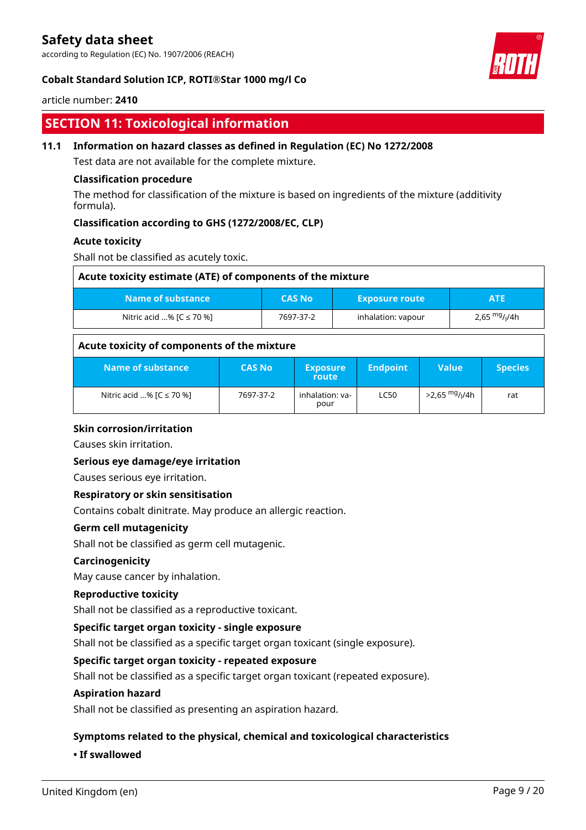according to Regulation (EC) No. 1907/2006 (REACH)

#### **Cobalt Standard Solution ICP, ROTI®Star 1000 mg/l Co**

#### article number: **2410**

## **SECTION 11: Toxicological information**

#### **11.1 Information on hazard classes as defined in Regulation (EC) No 1272/2008**

Test data are not available for the complete mixture.

#### **Classification procedure**

The method for classification of the mixture is based on ingredients of the mixture (additivity formula).

#### **Classification according to GHS (1272/2008/EC, CLP)**

#### **Acute toxicity**

Shall not be classified as acutely toxic.

| Acute toxicity estimate (ATE) of components of the mixture                |           |                    |                           |  |  |
|---------------------------------------------------------------------------|-----------|--------------------|---------------------------|--|--|
| Name of substance<br><b>CAS No</b><br><b>Exposure route</b><br><b>ATE</b> |           |                    |                           |  |  |
| Nitric acid % $[C \le 70$ %]                                              | 7697-37-2 | inhalation: vapour | 2,65 mg/ <sub>l</sub> /4h |  |  |

#### **Acute toxicity of components of the mixture**

| Name of substance            | <b>CAS No</b> | <b>Exposure</b><br>route | <b>Endpoint</b> | Value                                  | <b>Species</b> |
|------------------------------|---------------|--------------------------|-----------------|----------------------------------------|----------------|
| Nitric acid % $[C \le 70$ %] | 7697-37-2     | inhalation: va-<br>pour  | <b>LC50</b>     | >2,65 <sup>mg</sup> / <sub>l</sub> /4h | rat            |

#### **Skin corrosion/irritation**

Causes skin irritation.

#### **Serious eye damage/eye irritation**

Causes serious eye irritation.

#### **Respiratory or skin sensitisation**

Contains cobalt dinitrate. May produce an allergic reaction.

#### **Germ cell mutagenicity**

Shall not be classified as germ cell mutagenic.

#### **Carcinogenicity**

May cause cancer by inhalation.

#### **Reproductive toxicity**

Shall not be classified as a reproductive toxicant.

#### **Specific target organ toxicity - single exposure**

Shall not be classified as a specific target organ toxicant (single exposure).

#### **Specific target organ toxicity - repeated exposure**

Shall not be classified as a specific target organ toxicant (repeated exposure).

#### **Aspiration hazard**

Shall not be classified as presenting an aspiration hazard.

#### **Symptoms related to the physical, chemical and toxicological characteristics**

#### **• If swallowed**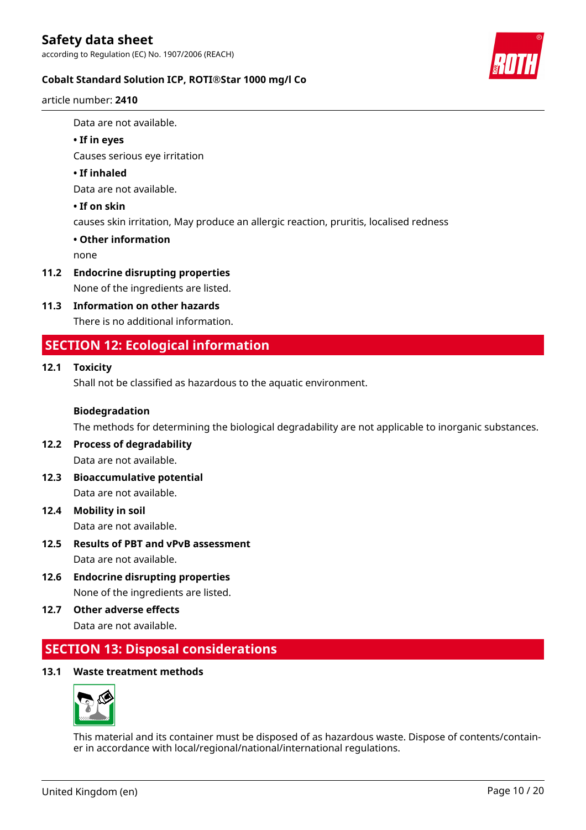

### **Cobalt Standard Solution ICP, ROTI®Star 1000 mg/l Co**

article number: **2410**

Data are not available.

#### **• If in eyes**

Causes serious eye irritation

#### **• If inhaled**

Data are not available.

#### **• If on skin**

causes skin irritation, May produce an allergic reaction, pruritis, localised redness

#### **• Other information**

none

### **11.2 Endocrine disrupting properties**

None of the ingredients are listed.

#### **11.3 Information on other hazards**

There is no additional information.

## **SECTION 12: Ecological information**

#### **12.1 Toxicity**

Shall not be classified as hazardous to the aquatic environment.

#### **Biodegradation**

The methods for determining the biological degradability are not applicable to inorganic substances.

#### **12.2 Process of degradability** Data are not available.

- **12.3 Bioaccumulative potential** Data are not available.
- **12.4 Mobility in soil** Data are not available.
- **12.5 Results of PBT and vPvB assessment** Data are not available.
- **12.6 Endocrine disrupting properties** None of the ingredients are listed.
- **12.7 Other adverse effects** Data are not available.

# **SECTION 13: Disposal considerations**

#### **13.1 Waste treatment methods**



This material and its container must be disposed of as hazardous waste. Dispose of contents/container in accordance with local/regional/national/international regulations.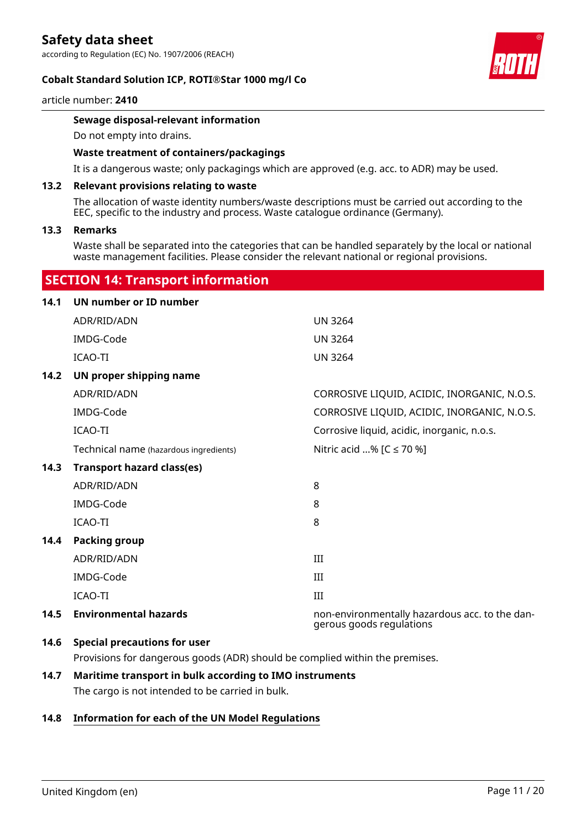according to Regulation (EC) No. 1907/2006 (REACH)

#### **Cobalt Standard Solution ICP, ROTI®Star 1000 mg/l Co**



article number: **2410**

#### **Sewage disposal-relevant information**

Do not empty into drains.

#### **Waste treatment of containers/packagings**

It is a dangerous waste; only packagings which are approved (e.g. acc. to ADR) may be used.

#### **13.2 Relevant provisions relating to waste**

The allocation of waste identity numbers/waste descriptions must be carried out according to the EEC, specific to the industry and process. Waste catalogue ordinance (Germany).

#### **13.3 Remarks**

Waste shall be separated into the categories that can be handled separately by the local or national waste management facilities. Please consider the relevant national or regional provisions.

### **SECTION 14: Transport information**

| 14.1 | UN number or ID number                 |                                                                            |
|------|----------------------------------------|----------------------------------------------------------------------------|
|      | ADR/RID/ADN                            | <b>UN 3264</b>                                                             |
|      | IMDG-Code                              | <b>UN 3264</b>                                                             |
|      | ICAO-TI                                | <b>UN 3264</b>                                                             |
| 14.2 | UN proper shipping name                |                                                                            |
|      | ADR/RID/ADN                            | CORROSIVE LIQUID, ACIDIC, INORGANIC, N.O.S.                                |
|      | IMDG-Code                              | CORROSIVE LIQUID, ACIDIC, INORGANIC, N.O.S.                                |
|      | <b>ICAO-TI</b>                         | Corrosive liquid, acidic, inorganic, n.o.s.                                |
|      | Technical name (hazardous ingredients) | Nitric acid % [C ≤ 70 %]                                                   |
| 14.3 | <b>Transport hazard class(es)</b>      |                                                                            |
|      | ADR/RID/ADN                            | 8                                                                          |
|      | IMDG-Code                              | 8                                                                          |
|      | <b>ICAO-TI</b>                         | 8                                                                          |
| 14.4 | <b>Packing group</b>                   |                                                                            |
|      | ADR/RID/ADN                            | III                                                                        |
|      | IMDG-Code                              | III                                                                        |
|      | <b>ICAO-TI</b>                         | III                                                                        |
| 14.5 | <b>Environmental hazards</b>           | non-environmentally hazardous acc. to the dan-<br>gerous goods regulations |
|      | 14 C Concial processions for user      |                                                                            |

#### **14.6 Special precautions for user**

Provisions for dangerous goods (ADR) should be complied within the premises.

# **14.7 Maritime transport in bulk according to IMO instruments**

The cargo is not intended to be carried in bulk.

#### **14.8 Information for each of the UN Model Regulations**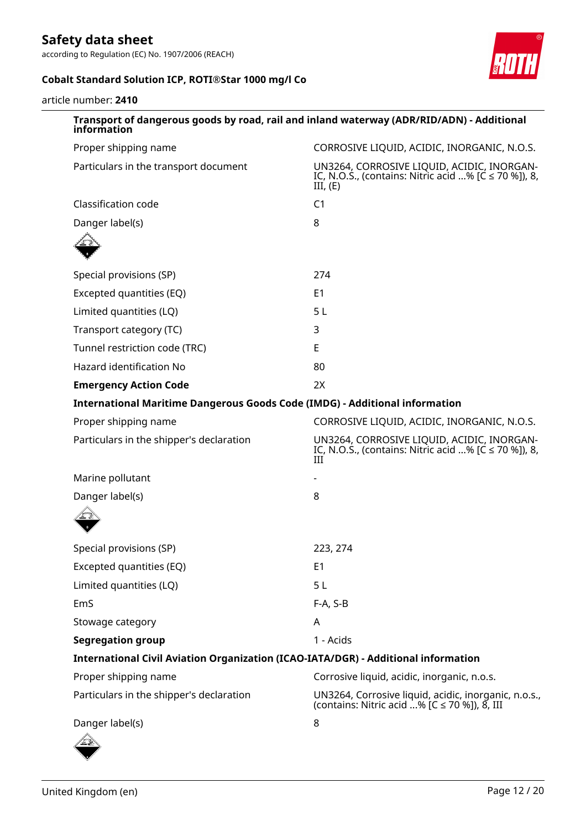according to Regulation (EC) No. 1907/2006 (REACH)



### **Cobalt Standard Solution ICP, ROTI®Star 1000 mg/l Co**

article number: **2410**

| information                                                                        | Transport of dangerous goods by road, rail and inland waterway (ADR/RID/ADN) - Additional                             |
|------------------------------------------------------------------------------------|-----------------------------------------------------------------------------------------------------------------------|
| Proper shipping name                                                               | CORROSIVE LIQUID, ACIDIC, INORGANIC, N.O.S.                                                                           |
| Particulars in the transport document                                              | UN3264, CORROSIVE LIQUID, ACIDIC, INORGAN-<br>IC, N.O.S., (contains: Nitric acid % [ $C \le 70$ %]), 8,<br>III, $(E)$ |
| Classification code                                                                | C <sub>1</sub>                                                                                                        |
| Danger label(s)                                                                    | 8                                                                                                                     |
|                                                                                    |                                                                                                                       |
| Special provisions (SP)                                                            | 274                                                                                                                   |
| Excepted quantities (EQ)                                                           | E <sub>1</sub>                                                                                                        |
| Limited quantities (LQ)                                                            | 5 <sub>L</sub>                                                                                                        |
| Transport category (TC)                                                            | 3                                                                                                                     |
| Tunnel restriction code (TRC)                                                      | E                                                                                                                     |
| <b>Hazard identification No</b>                                                    | 80                                                                                                                    |
| <b>Emergency Action Code</b>                                                       | 2X                                                                                                                    |
| <b>International Maritime Dangerous Goods Code (IMDG) - Additional information</b> |                                                                                                                       |
| Proper shipping name                                                               | CORROSIVE LIQUID, ACIDIC, INORGANIC, N.O.S.                                                                           |
| Particulars in the shipper's declaration                                           | UN3264, CORROSIVE LIQUID, ACIDIC, INORGAN-<br>IC, N.O.S., (contains: Nitric acid % [ $C \le 70$ %]), 8,<br>III        |
| Marine pollutant                                                                   |                                                                                                                       |
| Danger label(s)                                                                    | 8                                                                                                                     |
|                                                                                    |                                                                                                                       |
| Special provisions (SP)                                                            | 223, 274                                                                                                              |
| Excepted quantities (EQ)                                                           | E <sub>1</sub>                                                                                                        |
| Limited quantities (LQ)                                                            | 5 <sub>L</sub>                                                                                                        |
| EmS                                                                                | $F-A, S-B$                                                                                                            |
| Stowage category                                                                   | A                                                                                                                     |
| <b>Segregation group</b>                                                           | 1 - Acids                                                                                                             |
| International Civil Aviation Organization (ICAO-IATA/DGR) - Additional information |                                                                                                                       |
| Proper shipping name                                                               | Corrosive liquid, acidic, inorganic, n.o.s.                                                                           |
| Particulars in the shipper's declaration                                           | UN3264, Corrosive liquid, acidic, inorganic, n.o.s.,<br>(contains: Nitric acid % [C ≤ 70 %]), 8, III                  |
| Danger label(s)                                                                    | 8                                                                                                                     |
|                                                                                    |                                                                                                                       |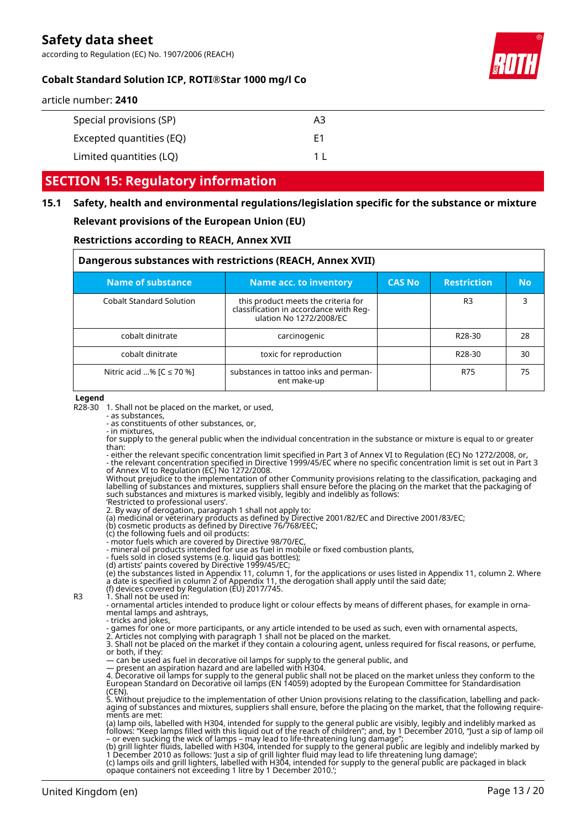according to Regulation (EC) No. 1907/2006 (REACH)



### **Cobalt Standard Solution ICP, ROTI®Star 1000 mg/l Co**

| Special provisions (SP)  | A3  |
|--------------------------|-----|
| Excepted quantities (EQ) | F1  |
| Limited quantities (LQ)  | 1 I |

## **SECTION 15: Regulatory information**

### **15.1 Safety, health and environmental regulations/legislation specific for the substance or mixture Relevant provisions of the European Union (EU)**

## **Restrictions according to REACH, Annex XVII**

| Dangerous substances with restrictions (REACH, Annex XVII) |                                                                                                          |               |                     |           |  |
|------------------------------------------------------------|----------------------------------------------------------------------------------------------------------|---------------|---------------------|-----------|--|
| <b>Name of substance</b>                                   | Name acc. to inventory                                                                                   | <b>CAS No</b> | <b>Restriction</b>  | <b>No</b> |  |
| <b>Cobalt Standard Solution</b>                            | this product meets the criteria for<br>classification in accordance with Req-<br>ulation No 1272/2008/EC |               | R <sub>3</sub>      | 3         |  |
| cobalt dinitrate                                           | carcinogenic                                                                                             |               | R <sub>28</sub> -30 | 28        |  |
| cobalt dinitrate                                           | toxic for reproduction                                                                                   |               | R <sub>28</sub> -30 | 30        |  |
| Nitric acid % $[C \le 70$ %]                               | substances in tattoo inks and perman-<br>ent make-up                                                     |               | R75                 | 75        |  |

#### **Legend**

R28-30 1. Shall not be placed on the market, or used,

- as substances,

- as constituents of other substances, or, - in mixtures,

for supply to the general public when the individual concentration in the substance or mixture is equal to or greater than:

- either the relevant specific concentration limit specified in Part 3 of Annex VI to Regulation (EC) No 1272/2008, or, - the relevant concentration specified in Directive 1999/45/EC where no specific concentration limit is set out in Part 3 of Annex VI to Regulation (EC) No 1272/2008.

Without prejudice to the implementation of other Community provisions relating to the classification, packaging and labelling of substances and mixtures, suppliers shall ensure before the placing on the market that the packaging of such substances and mixtures is marked visibly, legibly and indelibly as follows:

'Restricted to professional users'. 2. By way of derogation, paragraph 1 shall not apply to:

(a) medicinal or veterinary products as defined by Directive 2001/82/EC and Directive 2001/83/EC;

(b) cosmetic products as defined by Directive 76/768/EEC;

(c) the following fuels and oil products:

- motor fuels which are covered by Directive 98/70/EC,

- mineral oil products intended for use as fuel in mobile or fixed combustion plants,

- fuels sold in closed systems (e.g. liquid gas bottles); (d) artists' paints covered by Directive 1999/45/EC;

(e) the substances listed in Appendix 11, column 1, for the applications or uses listed in Appendix 11, column 2. Where a date is specified in column 2 of Appendix 11, the derogation shall apply until the said date; (f) devices covered by Regulation (EU) 2017/745.

R3 1. Shall not be used in:

- ornamental articles intended to produce light or colour effects by means of different phases, for example in ornamental lamps and ashtrays,

- tricks and jokes,

- games for one or more participants, or any article intended to be used as such, even with ornamental aspects, 2. Articles not complying with paragraph 1 shall not be placed on the market.

3. Shall not be placed on the market if they contain a colouring agent, unless required for fiscal reasons, or perfume, or both, if they:

— can be used as fuel in decorative oil lamps for supply to the general public, and

— present an aspiration hazard and are labelled with H304.

4. Decorative oil lamps for supply to the general public shall not be placed on the market unless they conform to the European Standard on Decorative oil lamps (EN 14059) adopted by the European Committee for Standardisation

(CEN). 5. Without prejudice to the implementation of other Union provisions relating to the classification, labelling and packaging of substances and mixtures, suppliers shall ensure, before the placing on the market, that the following requirements are met:

(a) lamp oils, labelled with H304, intended for supply to the general public are visibly, legibly and indelibly marked as follows: "Keep lamps filled with this liquid out of the reach of children"; and, by 1 December 2010, "Just a sip of lamp oil – or even sucking the wick of lamps – may lead to life-threatening lung damage";

(b) grill lighter fluids, labelled with H304, intended for supply to the general public are legibly and indelibly marked by 1 December 2010 as follows: 'Just a sip of grill lighter fluid may lead to life threatening lung damage';

(c) lamps oils and grill lighters, labelled with H304, intended for supply to the general public are packaged in black opaque containers not exceeding 1 litre by 1 December 2010.';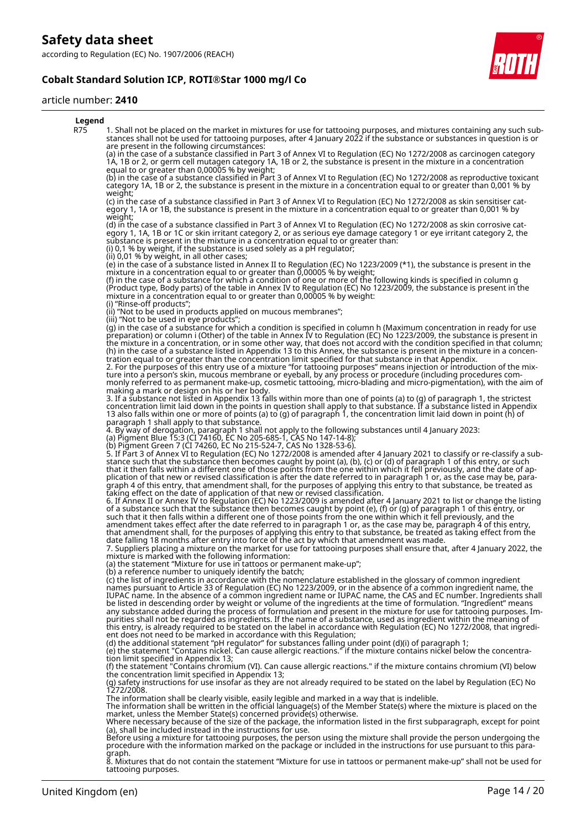### **Cobalt Standard Solution ICP, ROTI®Star 1000 mg/l Co**

#### article number: **2410**



8. Mixtures that do not contain the statement "Mixture for use in tattoos or permanent make-up" shall not be used for tattooing purposes.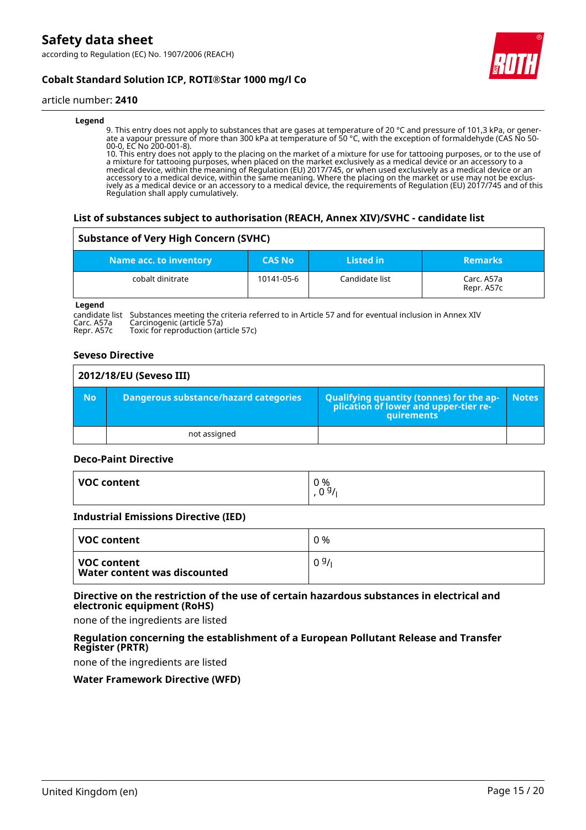

### **Cobalt Standard Solution ICP, ROTI®Star 1000 mg/l Co**

#### article number: **2410**

#### **Legend**

9. This entry does not apply to substances that are gases at temperature of 20 °C and pressure of 101,3 kPa, or generate a vapour pressure of more than 300 kPa at temperature of 50 °C, with the exception of formaldehyde (CAS No 50- 00-0, EC No 200-001-8).

10. This entry does not apply to the placing on the market of a mixture for use for tattooing purposes, or to the use of a mixture for tattooing purposes, when placed on the market exclusively as a medical device or an accessory to a medical device, within the meaning of Regulation (EU) 2017/745, or when used exclusively as a medical device or an accessory to a medical device, within the same meaning. Where the placing on the market or use may not be exclusively as a medical device or an accessory to a medical device, the requirements of Regulation (EU) 2017/745 and of this Regulation shall apply cumulatively.

#### **List of substances subject to authorisation (REACH, Annex XIV)/SVHC - candidate list**

#### **Substance of Very High Concern (SVHC)**

| Name acc. to inventory | <b>CAS No</b> | Listed in      | <b>Remarks</b>           |
|------------------------|---------------|----------------|--------------------------|
| cobalt dinitrate       | 10141-05-6    | Candidate list | Carc. A57a<br>Repr. A57c |

**Legend**

candidate list Substances meeting the criteria referred to in Article 57 and for eventual inclusion in Annex XIV<br>Carc. A57a Carcinogenic (article 57a)<br>Repr. A57c Toxic for reproduction (article 57c) Carc. A57a Carcinogenic (article 57a) Repr. A57c Toxic for reproduction (article 57c)

#### **Seveso Directive**

| 2012/18/EU (Seveso III) |                                       |                                                                                            |              |  |
|-------------------------|---------------------------------------|--------------------------------------------------------------------------------------------|--------------|--|
| <b>No</b>               | Dangerous substance/hazard categories | Qualifying quantity (tonnes) for the application of lower and upper-tier re-<br>quirements | <b>Notes</b> |  |
|                         | not assigned                          |                                                                                            |              |  |

#### **Deco-Paint Directive**

| VOC content | 0 %<br>$\alpha$<br>$\sim$<br>ے<br>◡ |
|-------------|-------------------------------------|
|             |                                     |

#### **Industrial Emissions Directive (IED)**

| VOC content                                   | 0 %  |
|-----------------------------------------------|------|
| ∣ VOC content<br>Water content was discounted | 09/1 |

#### **Directive on the restriction of the use of certain hazardous substances in electrical and electronic equipment (RoHS)**

none of the ingredients are listed

#### **Regulation concerning the establishment of a European Pollutant Release and Transfer Register (PRTR)**

none of the ingredients are listed

#### **Water Framework Directive (WFD)**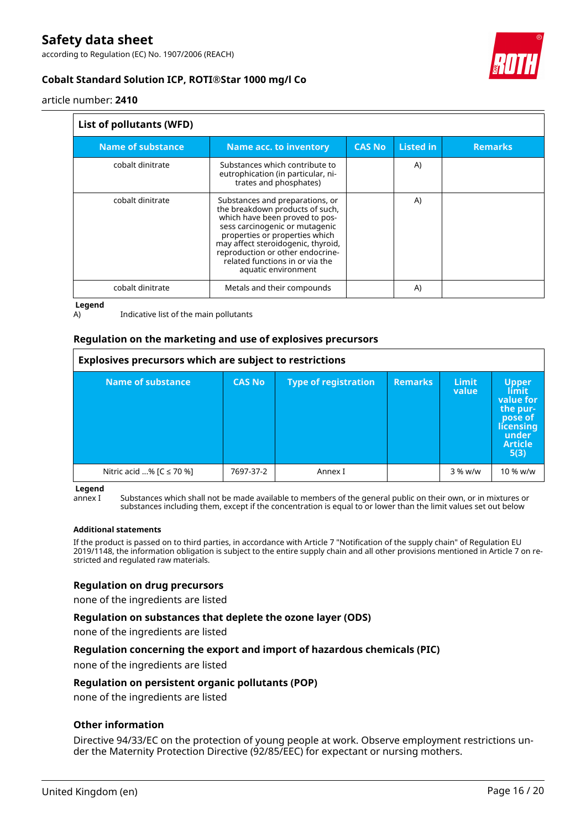according to Regulation (EC) No. 1907/2006 (REACH)



### **Cobalt Standard Solution ICP, ROTI®Star 1000 mg/l Co**

article number: **2410**

#### **List of pollutants (WFD)**

| <b>Name of substance</b> | Name acc. to inventory                                                                                                                                                                                                                                                                                       | <b>CAS No</b> | <b>Listed in</b> | <b>Remarks</b> |  |
|--------------------------|--------------------------------------------------------------------------------------------------------------------------------------------------------------------------------------------------------------------------------------------------------------------------------------------------------------|---------------|------------------|----------------|--|
| cobalt dinitrate         | Substances which contribute to<br>eutrophication (in particular, ni-<br>trates and phosphates)                                                                                                                                                                                                               |               | A)               |                |  |
| cobalt dinitrate         | Substances and preparations, or<br>the breakdown products of such,<br>which have been proved to pos-<br>sess carcinogenic or mutagenic<br>properties or properties which<br>may affect steroidogenic, thyroid,<br>reproduction or other endocrine-<br>related functions in or via the<br>aquatic environment |               | A)               |                |  |
| cobalt dinitrate         | Metals and their compounds                                                                                                                                                                                                                                                                                   |               | A)               |                |  |

**Legend**

A) Indicative list of the main pollutants

#### **Regulation on the marketing and use of explosives precursors**

| Explosives precursors which are subject to restrictions |               |                             |                |                |                                                                                                  |
|---------------------------------------------------------|---------------|-----------------------------|----------------|----------------|--------------------------------------------------------------------------------------------------|
| <b>Name of substance</b>                                | <b>CAS No</b> | <b>Type of registration</b> | <b>Remarks</b> | Limit<br>value | Upper<br><b>value</b> for<br>the pur-<br>pose of<br>licensing<br>under<br><b>Article</b><br>5(3) |
| Nitric acid % [ $C \le 70$ %]                           | 7697-37-2     | Annex I                     |                | $3%$ w/w       | 10 % w/w                                                                                         |

**Legend**

annex I Substances which shall not be made available to members of the general public on their own, or in mixtures or substances including them, except if the concentration is equal to or lower than the limit values set out below

#### **Additional statements**

If the product is passed on to third parties, in accordance with Article 7 "Notification of the supply chain" of Regulation EU 2019/1148, the information obligation is subject to the entire supply chain and all other provisions mentioned in Article 7 on restricted and regulated raw materials.

#### **Regulation on drug precursors**

none of the ingredients are listed

#### **Regulation on substances that deplete the ozone layer (ODS)**

none of the ingredients are listed

#### **Regulation concerning the export and import of hazardous chemicals (PIC)**

none of the ingredients are listed

#### **Regulation on persistent organic pollutants (POP)**

none of the ingredients are listed

#### **Other information**

Directive 94/33/EC on the protection of young people at work. Observe employment restrictions under the Maternity Protection Directive (92/85/EEC) for expectant or nursing mothers.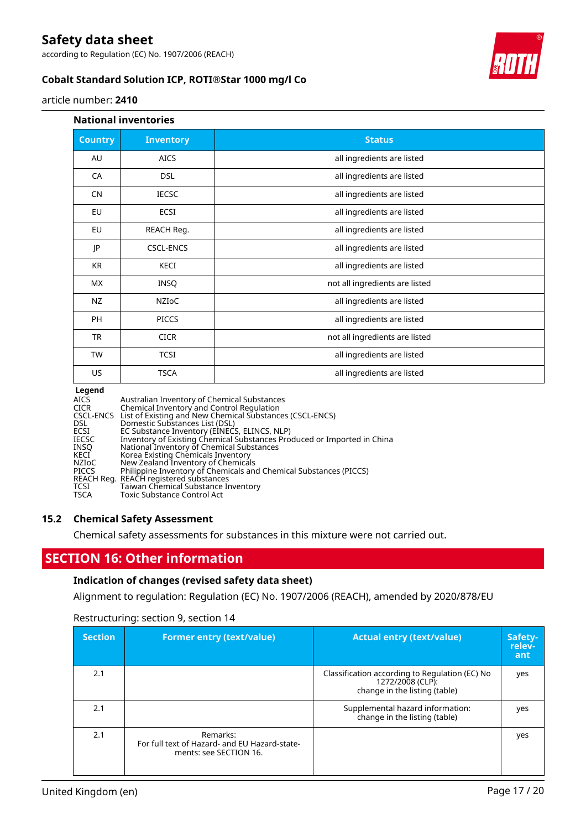according to Regulation (EC) No. 1907/2006 (REACH)

### **Cobalt Standard Solution ICP, ROTI®Star 1000 mg/l Co**

#### article number: **2410**

#### **National inventories**

| <b>Country</b> | <b>Inventory</b> | <b>Status</b>                  |
|----------------|------------------|--------------------------------|
| AU             | <b>AICS</b>      | all ingredients are listed     |
| CA             | <b>DSL</b>       | all ingredients are listed     |
| CN             | <b>IECSC</b>     | all ingredients are listed     |
| EU             | <b>ECSI</b>      | all ingredients are listed     |
| EU             | REACH Reg.       | all ingredients are listed     |
| JP             | <b>CSCL-ENCS</b> | all ingredients are listed     |
| <b>KR</b>      | KECI             | all ingredients are listed     |
| МX             | <b>INSQ</b>      | not all ingredients are listed |
| NZ             | NZIOC            | all ingredients are listed     |
| <b>PH</b>      | <b>PICCS</b>     | all ingredients are listed     |
| <b>TR</b>      | <b>CICR</b>      | not all ingredients are listed |
| <b>TW</b>      | <b>TCSI</b>      | all ingredients are listed     |
| US             | <b>TSCA</b>      | all ingredients are listed     |

#### **Legend**

| Australian Inventory of Chemical Substances<br>AICS                                     |  |
|-----------------------------------------------------------------------------------------|--|
| Chemical Inventory and Control Regulation<br><b>CICR</b>                                |  |
| CSCL-ENCS List of Existing and New Chemical Substances (CSCL-ENCS)                      |  |
| DSL.<br>Domestic Substances List (DSL)                                                  |  |
| EC Substance Inventory (EINECS, ELINCS, NLP)<br>ECSI                                    |  |
| Inventory of Existing Chemical Substances Produced or Imported in China<br><b>IECSC</b> |  |
| National Inventory of Chemical Substances<br><b>INSO</b>                                |  |
| Korea Existing Chemicals Inventory<br>KECI                                              |  |
| New Zealand Inventory of Chemicals<br>NZIoC                                             |  |
| Philippine Inventory of Chemicals and Chemical Substances (PICCS)<br><b>PICCS</b>       |  |
| REACH Reg. REACH registered substances                                                  |  |
| Taiwan Chemical Substance Inventory<br>TCSI                                             |  |
| <b>TSCA</b><br><b>Toxic Substance Control Act</b>                                       |  |

#### **15.2 Chemical Safety Assessment**

Chemical safety assessments for substances in this mixture were not carried out.

### **SECTION 16: Other information**

#### **Indication of changes (revised safety data sheet)**

Alignment to regulation: Regulation (EC) No. 1907/2006 (REACH), amended by 2020/878/EU

| <b>Section</b> | <b>Former entry (text/value)</b>                                                    | <b>Actual entry (text/value)</b>                                                                    | Safety-<br>relev-<br>ant |
|----------------|-------------------------------------------------------------------------------------|-----------------------------------------------------------------------------------------------------|--------------------------|
| 2.1            |                                                                                     | Classification according to Regulation (EC) No<br>1272/2008 (CLP):<br>change in the listing (table) | yes                      |
| 2.1            |                                                                                     | Supplemental hazard information:<br>change in the listing (table)                                   | yes                      |
| 2.1            | Remarks:<br>For full text of Hazard- and EU Hazard-state-<br>ments: see SECTION 16. |                                                                                                     | yes                      |

### Restructuring: section 9, section 14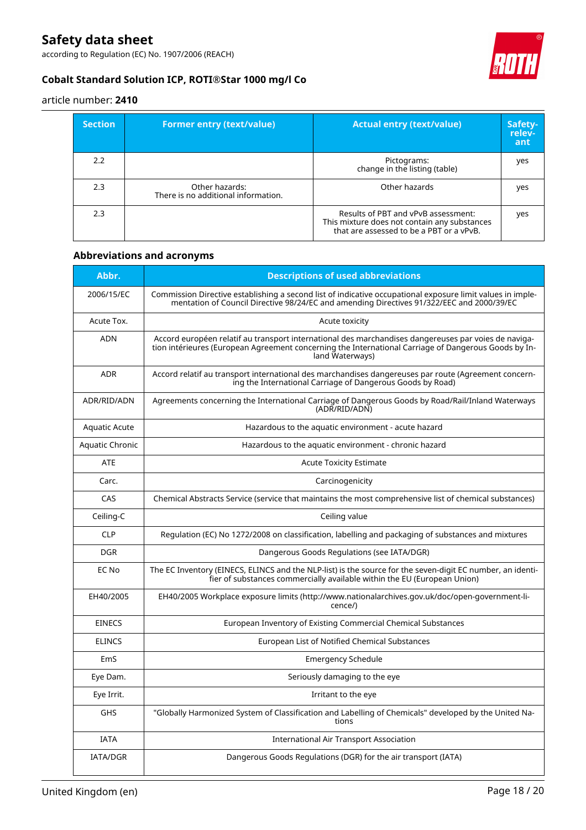according to Regulation (EC) No. 1907/2006 (REACH)



### **Cobalt Standard Solution ICP, ROTI®Star 1000 mg/l Co**

article number: **2410**

| <b>Section</b> | <b>Former entry (text/value)</b>                      | <b>Actual entry (text/value)</b>                                                                                                | Safety-<br>relev-<br>ant |
|----------------|-------------------------------------------------------|---------------------------------------------------------------------------------------------------------------------------------|--------------------------|
| 2.2            |                                                       | Pictograms:<br>change in the listing (table)                                                                                    | yes                      |
| 2.3            | Other hazards:<br>There is no additional information. | Other hazards                                                                                                                   | yes                      |
| 2.3            |                                                       | Results of PBT and vPvB assessment:<br>This mixture does not contain any substances<br>that are assessed to be a PBT or a vPvB. | yes                      |

### **Abbreviations and acronyms**

| Abbr.           | <b>Descriptions of used abbreviations</b>                                                                                                                                                                                       |
|-----------------|---------------------------------------------------------------------------------------------------------------------------------------------------------------------------------------------------------------------------------|
| 2006/15/EC      | Commission Directive establishing a second list of indicative occupational exposure limit values in imple-<br>mentation of Council Directive 98/24/EC and amending Directives 91/322/EEC and 2000/39/EC                         |
| Acute Tox.      | Acute toxicity                                                                                                                                                                                                                  |
| <b>ADN</b>      | Accord européen relatif au transport international des marchandises dangereuses par voies de naviga-<br>tion intérieures (European Agreement concerning the International Carriage of Dangerous Goods by In-<br>land Waterways) |
| <b>ADR</b>      | Accord relatif au transport international des marchandises dangereuses par route (Agreement concern-<br>ing the International Carriage of Dangerous Goods by Road)                                                              |
| ADR/RID/ADN     | Agreements concerning the International Carriage of Dangerous Goods by Road/Rail/Inland Waterways<br>(ADR/RID/ADN)                                                                                                              |
| Aquatic Acute   | Hazardous to the aquatic environment - acute hazard                                                                                                                                                                             |
| Aquatic Chronic | Hazardous to the aquatic environment - chronic hazard                                                                                                                                                                           |
| <b>ATE</b>      | <b>Acute Toxicity Estimate</b>                                                                                                                                                                                                  |
| Carc.           | Carcinogenicity                                                                                                                                                                                                                 |
| CAS             | Chemical Abstracts Service (service that maintains the most comprehensive list of chemical substances)                                                                                                                          |
| Ceiling-C       | Ceiling value                                                                                                                                                                                                                   |
| <b>CLP</b>      | Regulation (EC) No 1272/2008 on classification, labelling and packaging of substances and mixtures                                                                                                                              |
| <b>DGR</b>      | Dangerous Goods Regulations (see IATA/DGR)                                                                                                                                                                                      |
| EC No           | The EC Inventory (EINECS, ELINCS and the NLP-list) is the source for the seven-digit EC number, an identi-<br>fier of substances commercially available within the EU (European Union)                                          |
| EH40/2005       | EH40/2005 Workplace exposure limits (http://www.nationalarchives.gov.uk/doc/open-government-li-<br>cence/)                                                                                                                      |
| <b>EINECS</b>   | European Inventory of Existing Commercial Chemical Substances                                                                                                                                                                   |
| <b>ELINCS</b>   | European List of Notified Chemical Substances                                                                                                                                                                                   |
| EmS             | <b>Emergency Schedule</b>                                                                                                                                                                                                       |
| Eye Dam.        | Seriously damaging to the eye                                                                                                                                                                                                   |
| Eye Irrit.      | Irritant to the eye                                                                                                                                                                                                             |
| <b>GHS</b>      | "Globally Harmonized System of Classification and Labelling of Chemicals" developed by the United Na-<br>tions                                                                                                                  |
| <b>IATA</b>     | <b>International Air Transport Association</b>                                                                                                                                                                                  |
| <b>IATA/DGR</b> | Dangerous Goods Regulations (DGR) for the air transport (IATA)                                                                                                                                                                  |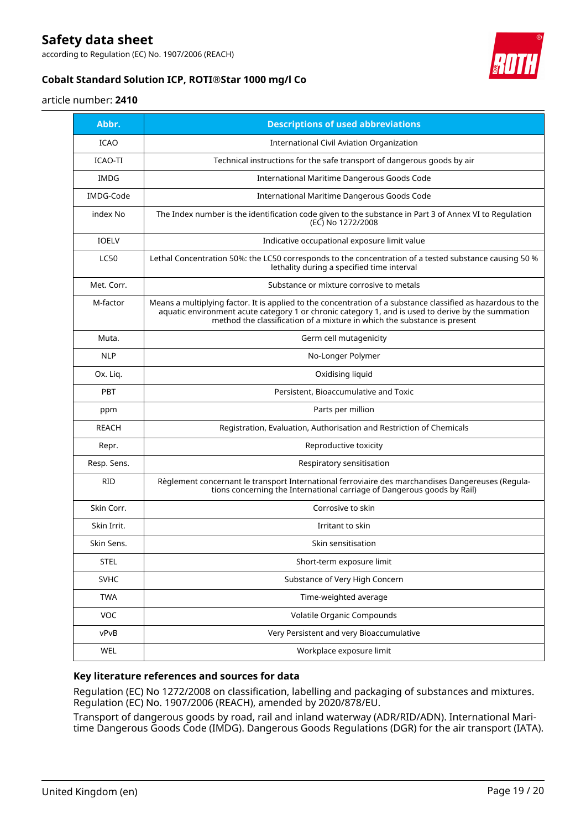according to Regulation (EC) No. 1907/2006 (REACH)

### **Cobalt Standard Solution ICP, ROTI®Star 1000 mg/l Co**



#### article number: **2410**

| Abbr.        | <b>Descriptions of used abbreviations</b>                                                                                                                                                                                                                                                      |
|--------------|------------------------------------------------------------------------------------------------------------------------------------------------------------------------------------------------------------------------------------------------------------------------------------------------|
| <b>ICAO</b>  | <b>International Civil Aviation Organization</b>                                                                                                                                                                                                                                               |
| ICAO-TI      | Technical instructions for the safe transport of dangerous goods by air                                                                                                                                                                                                                        |
| IMDG         | International Maritime Dangerous Goods Code                                                                                                                                                                                                                                                    |
| IMDG-Code    | International Maritime Dangerous Goods Code                                                                                                                                                                                                                                                    |
| index No     | The Index number is the identification code given to the substance in Part 3 of Annex VI to Regulation<br>(EC) No 1272/2008                                                                                                                                                                    |
| <b>IOELV</b> | Indicative occupational exposure limit value                                                                                                                                                                                                                                                   |
| <b>LC50</b>  | Lethal Concentration 50%: the LC50 corresponds to the concentration of a tested substance causing 50 %<br>lethality during a specified time interval                                                                                                                                           |
| Met. Corr.   | Substance or mixture corrosive to metals                                                                                                                                                                                                                                                       |
| M-factor     | Means a multiplying factor. It is applied to the concentration of a substance classified as hazardous to the<br>aquatic environment acute category 1 or chronic category 1, and is used to derive by the summation<br>method the classification of a mixture in which the substance is present |
| Muta.        | Germ cell mutagenicity                                                                                                                                                                                                                                                                         |
| <b>NLP</b>   | No-Longer Polymer                                                                                                                                                                                                                                                                              |
| Ox. Liq.     | Oxidising liquid                                                                                                                                                                                                                                                                               |
| <b>PBT</b>   | Persistent, Bioaccumulative and Toxic                                                                                                                                                                                                                                                          |
| ppm          | Parts per million                                                                                                                                                                                                                                                                              |
| <b>REACH</b> | Registration, Evaluation, Authorisation and Restriction of Chemicals                                                                                                                                                                                                                           |
| Repr.        | Reproductive toxicity                                                                                                                                                                                                                                                                          |
| Resp. Sens.  | Respiratory sensitisation                                                                                                                                                                                                                                                                      |
| <b>RID</b>   | Règlement concernant le transport International ferroviaire des marchandises Dangereuses (Regula-<br>tions concerning the International carriage of Dangerous goods by Rail)                                                                                                                   |
| Skin Corr.   | Corrosive to skin                                                                                                                                                                                                                                                                              |
| Skin Irrit.  | Irritant to skin                                                                                                                                                                                                                                                                               |
| Skin Sens.   | Skin sensitisation                                                                                                                                                                                                                                                                             |
| <b>STEL</b>  | Short-term exposure limit                                                                                                                                                                                                                                                                      |
| <b>SVHC</b>  | Substance of Very High Concern                                                                                                                                                                                                                                                                 |
| <b>TWA</b>   | Time-weighted average                                                                                                                                                                                                                                                                          |
| VOC          | <b>Volatile Organic Compounds</b>                                                                                                                                                                                                                                                              |
| vPvB         | Very Persistent and very Bioaccumulative                                                                                                                                                                                                                                                       |
| WEL          | Workplace exposure limit                                                                                                                                                                                                                                                                       |

#### **Key literature references and sources for data**

Regulation (EC) No 1272/2008 on classification, labelling and packaging of substances and mixtures. Regulation (EC) No. 1907/2006 (REACH), amended by 2020/878/EU.

Transport of dangerous goods by road, rail and inland waterway (ADR/RID/ADN). International Maritime Dangerous Goods Code (IMDG). Dangerous Goods Regulations (DGR) for the air transport (IATA).